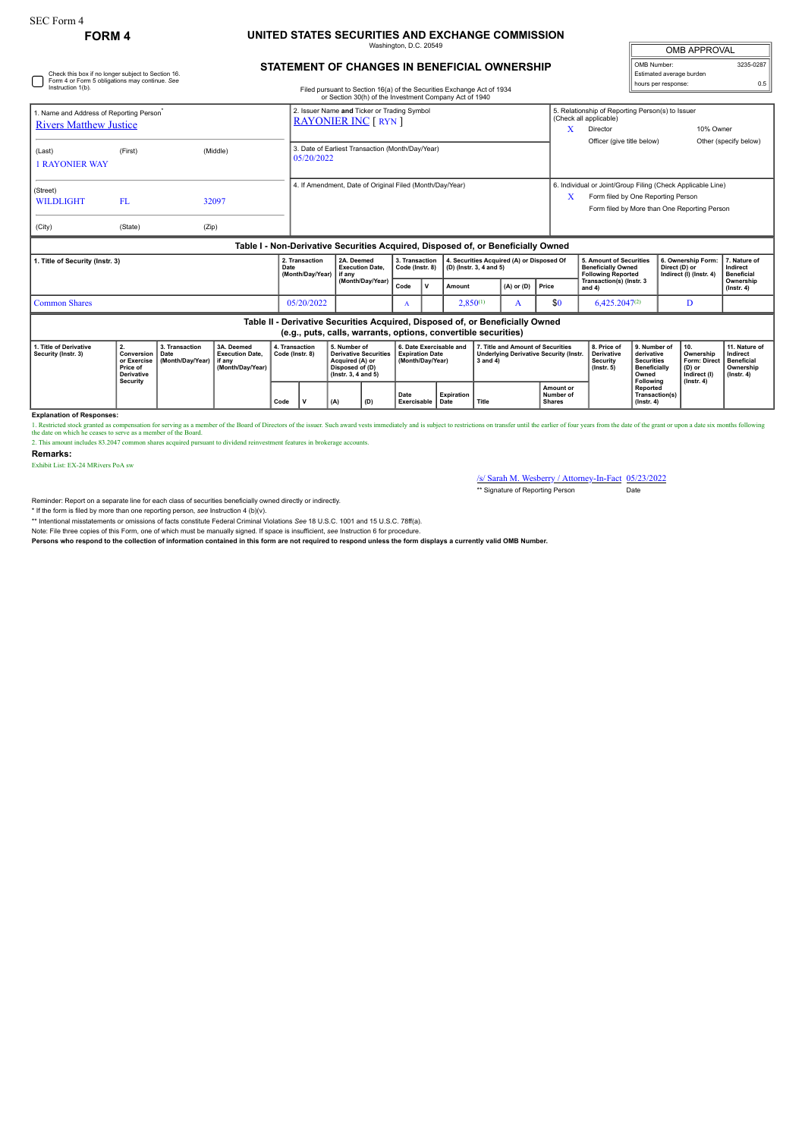## **FORM 4 UNITED STATES SECURITIES AND EXCHANGE COMMISSION**

ngton, D.C. 2

| <b>OMB APPROVAL</b>      |           |  |  |  |
|--------------------------|-----------|--|--|--|
| OMB Number:              | 3235-0287 |  |  |  |
| Estimated average burden |           |  |  |  |
| hours per response:      | 0.5       |  |  |  |

## **STATEMENT OF CHANGES IN BENEFICIAL OWNERSHIP**

| Check this box if no longer subject to Section 16.<br>Form 4 or Form 5 obligations may continue. See<br>Instruction 1(b).                       |                                                                              |                                            |                                                                                  | Filed pursuant to Section 16(a) of the Securities Exchange Act of 1934 |                                                                |                                                                                                           |                                                                                                                                      |                                                                       |              |                                                                      |                                                                                                     |                | Estimated average burden<br>hours per response:                                   |                                                                                                                                                   |                                                                                              | 0.5                                                                              |                                                                                 |
|-------------------------------------------------------------------------------------------------------------------------------------------------|------------------------------------------------------------------------------|--------------------------------------------|----------------------------------------------------------------------------------|------------------------------------------------------------------------|----------------------------------------------------------------|-----------------------------------------------------------------------------------------------------------|--------------------------------------------------------------------------------------------------------------------------------------|-----------------------------------------------------------------------|--------------|----------------------------------------------------------------------|-----------------------------------------------------------------------------------------------------|----------------|-----------------------------------------------------------------------------------|---------------------------------------------------------------------------------------------------------------------------------------------------|----------------------------------------------------------------------------------------------|----------------------------------------------------------------------------------|---------------------------------------------------------------------------------|
| 1. Name and Address of Reporting Person <sup>®</sup><br><b>Rivers Matthew Justice</b>                                                           |                                                                              |                                            |                                                                                  |                                                                        |                                                                |                                                                                                           | or Section 30(h) of the Investment Company Act of 1940<br>2. Issuer Name and Ticker or Trading Symbol<br><b>RAYONIER INC [ RYN ]</b> |                                                                       |              |                                                                      |                                                                                                     |                | x                                                                                 | 5. Relationship of Reporting Person(s) to Issuer<br>(Check all applicable)<br>Director                                                            |                                                                                              | 10% Owner                                                                        |                                                                                 |
| (Last)<br><b>1 RAYONIER WAY</b>                                                                                                                 | (First)                                                                      |                                            | (Middle)                                                                         |                                                                        | 3. Date of Earliest Transaction (Month/Day/Year)<br>05/20/2022 |                                                                                                           |                                                                                                                                      |                                                                       |              |                                                                      |                                                                                                     |                |                                                                                   | Officer (give title below)                                                                                                                        |                                                                                              |                                                                                  | Other (specify below)                                                           |
| (Street)<br><b>WILDLIGHT</b><br>(City)                                                                                                          | FL.<br>(State)                                                               | (Zip)                                      | 32097                                                                            |                                                                        | 4. If Amendment, Date of Original Filed (Month/Day/Year)       |                                                                                                           |                                                                                                                                      |                                                                       |              |                                                                      |                                                                                                     |                | X                                                                                 | 6. Individual or Joint/Group Filing (Check Applicable Line)<br>Form filed by One Reporting Person<br>Form filed by More than One Reporting Person |                                                                                              |                                                                                  |                                                                                 |
|                                                                                                                                                 |                                                                              |                                            | Table I - Non-Derivative Securities Acquired, Disposed of, or Beneficially Owned |                                                                        |                                                                |                                                                                                           |                                                                                                                                      |                                                                       |              |                                                                      |                                                                                                     |                |                                                                                   |                                                                                                                                                   |                                                                                              |                                                                                  |                                                                                 |
| . Title of Security (Instr. 3)                                                                                                                  |                                                                              |                                            | Date                                                                             | 2. Transaction<br>(Month/Day/Year)                                     |                                                                | 2A. Deemed<br><b>Execution Date.</b>                                                                      | 3. Transaction<br>Code (Instr. 8)                                                                                                    |                                                                       |              | 4. Securities Acquired (A) or Disposed Of<br>(D) (Instr. 3, 4 and 5) |                                                                                                     |                | 5. Amount of Securities<br><b>Beneficially Owned</b><br><b>Following Reported</b> |                                                                                                                                                   | 6. Ownership Form:<br>Direct (D) or<br>Indirect (I) (Instr. 4)                               | 7. Nature of<br>Indirect<br><b>Beneficial</b>                                    |                                                                                 |
|                                                                                                                                                 |                                                                              |                                            |                                                                                  |                                                                        |                                                                |                                                                                                           | (Month/Day/Year)                                                                                                                     | Code                                                                  | $\mathsf{v}$ | Amount                                                               |                                                                                                     | $(A)$ or $(D)$ | Price                                                                             | Transaction(s) (Instr. 3<br>and 4)                                                                                                                |                                                                                              |                                                                                  | Ownership<br>$($ lnstr. 4 $)$                                                   |
| <b>Common Shares</b>                                                                                                                            |                                                                              |                                            |                                                                                  |                                                                        | $2,850^{(1)}$<br>05/20/2022<br>A<br>A                          |                                                                                                           | \$0                                                                                                                                  | $6.425.2047^{(2)}$                                                    |              | D                                                                    |                                                                                                     |                |                                                                                   |                                                                                                                                                   |                                                                                              |                                                                                  |                                                                                 |
| Table II - Derivative Securities Acquired, Disposed of, or Beneficially Owned<br>(e.g., puts, calls, warrants, options, convertible securities) |                                                                              |                                            |                                                                                  |                                                                        |                                                                |                                                                                                           |                                                                                                                                      |                                                                       |              |                                                                      |                                                                                                     |                |                                                                                   |                                                                                                                                                   |                                                                                              |                                                                                  |                                                                                 |
| 1. Title of Derivative<br>Security (Instr. 3)                                                                                                   | 2.<br>Conversion<br>or Exercise<br>Price of<br><b>Derivative</b><br>Security | 3. Transaction<br>Date<br>(Month/Dav/Year) | 3A. Deemed<br><b>Execution Date.</b><br>if anv<br>(Month/Day/Year)               | 4. Transaction<br>Code (Instr. 8)                                      |                                                                | 5. Number of<br><b>Derivative Securities</b><br>Acquired (A) or<br>Disposed of (D)<br>(Instr. 3, 4 and 5) |                                                                                                                                      | 6. Date Exercisable and<br><b>Expiration Date</b><br>(Month/Dav/Year) |              |                                                                      | 7. Title and Amount of Securities<br><b>Underlying Derivative Security (Instr.</b><br>$3$ and $4$ ) |                |                                                                                   | 8. Price of<br><b>Derivative</b><br><b>Security</b><br>$($ lnstr. 5 $)$                                                                           | 9. Number of<br>derivative<br><b>Securities</b><br><b>Beneficially</b><br>Owned<br>Following | 10.<br>Ownership<br>Form: Direct<br>$(D)$ or<br>Indirect (I)<br>$($ lnstr $, 4)$ | 11. Nature of<br>Indirect<br><b>Beneficial</b><br>Ownership<br>$($ Instr. 4 $)$ |
|                                                                                                                                                 |                                                                              |                                            |                                                                                  | Code                                                                   | v                                                              | Expiration<br>Date<br>Exercisable<br>Date                                                                 |                                                                                                                                      |                                                                       | Title        |                                                                      | Amount or<br>Number of<br><b>Shares</b>                                                             |                | Reported<br>Transaction(s)<br>$($ lnstr $, 4)$                                    |                                                                                                                                                   |                                                                                              |                                                                                  |                                                                                 |

**Explanation of Responses:**

1. Restricted stock ganted as compensation for serving as a member of the Board of Directors of the issuer. Such award vests immediately and is subject to restrictions on transfer until the earlier of four years from the d

2. This amount includes 83.2047 common shares acquired pursuant to dividend reinvestment features in brokerage accounts.

## **Remarks:**

Exhibit List: EX-24 MRivers PoA sw

/s/ Sarah M. Wesberry / Attorney-In-Fact 05/23/2022

\*\* Signature of Reporting Person Date

Reminder: Report on a separate line for each class of securities beneficially owned directly or indirectly.

\* If the form is filed by more than one reporting person, *see* Instruction 4 (b)(v).

\*\* Intentional misstatements or omissions of facts constitute Federal Criminal Violations *See* 18 U.S.C. 1001 and 15 U.S.C. 78ff(a). Note: File three copies of this Form, one of which must be manually signed. If space is insufficient, *see* Instruction 6 for procedure.

**Persons who respond to the collection of information contained in this form are not required to respond unless the form displays a currently valid OMB Number.**